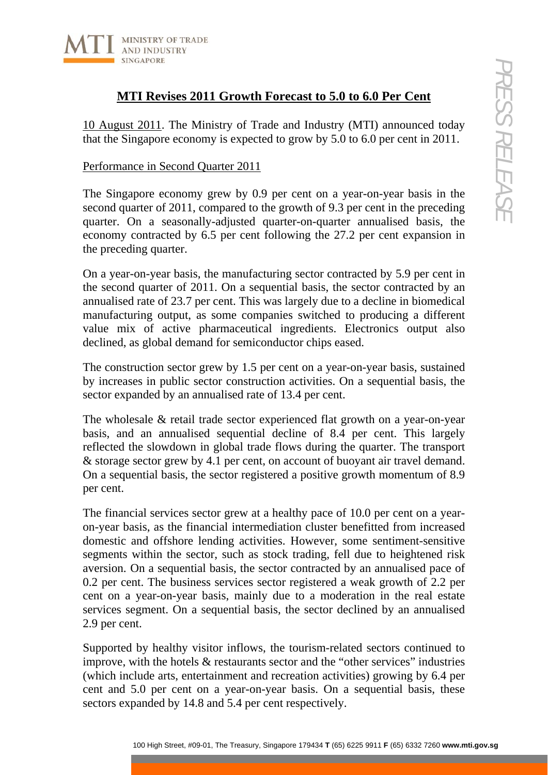

# **MTI Revises 2011 Growth Forecast to 5.0 to 6.0 Per Cent**

10 August 2011. The Ministry of Trade and Industry (MTI) announced today that the Singapore economy is expected to grow by 5.0 to 6.0 per cent in 2011.

## Performance in Second Quarter 2011

The Singapore economy grew by 0.9 per cent on a year-on-year basis in the second quarter of 2011, compared to the growth of 9.3 per cent in the preceding quarter. On a seasonally-adjusted quarter-on-quarter annualised basis, the economy contracted by 6.5 per cent following the 27.2 per cent expansion in the preceding quarter.

On a year-on-year basis, the manufacturing sector contracted by 5.9 per cent in the second quarter of 2011. On a sequential basis, the sector contracted by an annualised rate of 23.7 per cent. This was largely due to a decline in biomedical manufacturing output, as some companies switched to producing a different value mix of active pharmaceutical ingredients. Electronics output also declined, as global demand for semiconductor chips eased.

The construction sector grew by 1.5 per cent on a year-on-year basis, sustained by increases in public sector construction activities. On a sequential basis, the sector expanded by an annualised rate of 13.4 per cent.

The wholesale & retail trade sector experienced flat growth on a year-on-year basis, and an annualised sequential decline of 8.4 per cent. This largely reflected the slowdown in global trade flows during the quarter. The transport & storage sector grew by 4.1 per cent, on account of buoyant air travel demand. On a sequential basis, the sector registered a positive growth momentum of 8.9 per cent.

**111 Revises 20111 Growth Forceast to 5.0 to 6.0 Per Cent**<br> **2011).** The Ministry of Trade and Industry (MTI) announced today<br> **62011**. The Ministry of Trade and Industry (MTI) announced today<br> **620** Diet Comony grew by 0 The financial services sector grew at a healthy pace of 10.0 per cent on a yearon-year basis, as the financial intermediation cluster benefitted from increased domestic and offshore lending activities. However, some sentiment-sensitive segments within the sector, such as stock trading, fell due to heightened risk aversion. On a sequential basis, the sector contracted by an annualised pace of 0.2 per cent. The business services sector registered a weak growth of 2.2 per cent on a year-on-year basis, mainly due to a moderation in the real estate services segment. On a sequential basis, the sector declined by an annualised 2.9 per cent.

Supported by healthy visitor inflows, the tourism-related sectors continued to improve, with the hotels & restaurants sector and the "other services" industries (which include arts, entertainment and recreation activities) growing by 6.4 per cent and 5.0 per cent on a year-on-year basis. On a sequential basis, these sectors expanded by 14.8 and 5.4 per cent respectively.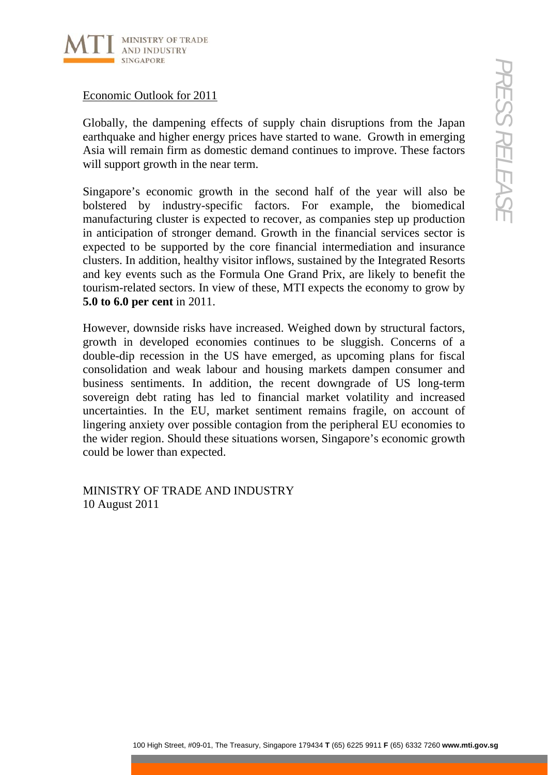

Economic Outlook for 2011

Globally, the dampening effects of supply chain disruptions from the Japan earthquake and higher energy prices have started to wane. Growth in emerging Asia will remain firm as domestic demand continues to improve. These factors will support growth in the near term.

Singapore's economic growth in the second half of the year will also be bolstered by industry-specific factors. For example, the biomedical manufacturing cluster is expected to recover, as companies step up production in anticipation of stronger demand. Growth in the financial services sector is expected to be supported by the core financial intermediation and insurance clusters. In addition, healthy visitor inflows, sustained by the Integrated Resorts and key events such as the Formula One Grand Prix, are likely to benefit the tourism-related sectors. In view of these, MTI expects the economy to grow by **5.0 to 6.0 per cent** in 2011.

100 House Controllers, the Matter of stupply chain disruptions from the Japan and higher energy prices have started to wane. Growth in energing and firm as domestic dentant dominues to improve. These factors are a comparis However, downside risks have increased. Weighed down by structural factors, growth in developed economies continues to be sluggish. Concerns of a double-dip recession in the US have emerged, as upcoming plans for fiscal consolidation and weak labour and housing markets dampen consumer and business sentiments. In addition, the recent downgrade of US long-term sovereign debt rating has led to financial market volatility and increased uncertainties. In the EU, market sentiment remains fragile, on account of lingering anxiety over possible contagion from the peripheral EU economies to the wider region. Should these situations worsen, Singapore's economic growth could be lower than expected.

MINISTRY OF TRADE AND INDUSTRY 10 August 2011